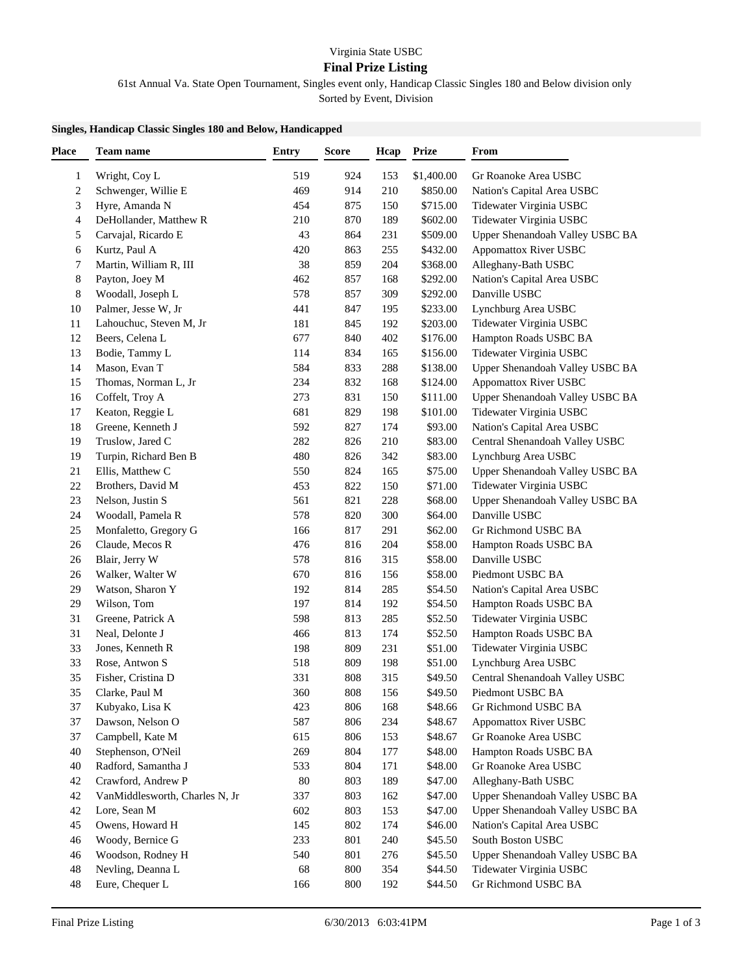## Virginia State USBC

## **Final Prize Listing**

61st Annual Va. State Open Tournament, Singles event only, Handicap Classic Singles 180 and Below division only

Sorted by Event, Division

## **Singles, Handicap Classic Singles 180 and Below, Handicapped**

| <b>Place</b>            | <b>Team name</b>               | <b>Entry</b> | <b>Score</b> | Hcap | Prize      | From                            |
|-------------------------|--------------------------------|--------------|--------------|------|------------|---------------------------------|
| 1                       | Wright, Coy L                  | 519          | 924          | 153  | \$1,400.00 | Gr Roanoke Area USBC            |
| $\overline{\mathbf{c}}$ | Schwenger, Willie E            | 469          | 914          | 210  | \$850.00   | Nation's Capital Area USBC      |
| 3                       | Hyre, Amanda N                 | 454          | 875          | 150  | \$715.00   | Tidewater Virginia USBC         |
| 4                       | DeHollander, Matthew R         | 210          | 870          | 189  | \$602.00   | Tidewater Virginia USBC         |
| 5                       | Carvajal, Ricardo E            | 43           | 864          | 231  | \$509.00   | Upper Shenandoah Valley USBC BA |
| 6                       | Kurtz, Paul A                  | 420          | 863          | 255  | \$432.00   | <b>Appomattox River USBC</b>    |
| 7                       | Martin, William R, III         | 38           | 859          | 204  | \$368.00   | Alleghany-Bath USBC             |
| 8                       | Payton, Joey M                 | 462          | 857          | 168  | \$292.00   | Nation's Capital Area USBC      |
| 8                       | Woodall, Joseph L              | 578          | 857          | 309  | \$292.00   | Danville USBC                   |
| 10                      | Palmer, Jesse W, Jr            | 441          | 847          | 195  | \$233.00   | Lynchburg Area USBC             |
| 11                      | Lahouchuc, Steven M, Jr        | 181          | 845          | 192  | \$203.00   | Tidewater Virginia USBC         |
| 12                      | Beers, Celena L                | 677          | 840          | 402  | \$176.00   | Hampton Roads USBC BA           |
|                         |                                |              |              |      |            |                                 |
| 13                      | Bodie, Tammy L                 | 114          | 834          | 165  | \$156.00   | Tidewater Virginia USBC         |
| 14                      | Mason, Evan T                  | 584          | 833          | 288  | \$138.00   | Upper Shenandoah Valley USBC BA |
| 15                      | Thomas, Norman L, Jr           | 234          | 832          | 168  | \$124.00   | <b>Appomattox River USBC</b>    |
| 16                      | Coffelt, Troy A                | 273          | 831          | 150  | \$111.00   | Upper Shenandoah Valley USBC BA |
| 17                      | Keaton, Reggie L               | 681          | 829          | 198  | \$101.00   | Tidewater Virginia USBC         |
| 18                      | Greene, Kenneth J              | 592          | 827          | 174  | \$93.00    | Nation's Capital Area USBC      |
| 19                      | Truslow, Jared C               | 282          | 826          | 210  | \$83.00    | Central Shenandoah Valley USBC  |
| 19                      | Turpin, Richard Ben B          | 480          | 826          | 342  | \$83.00    | Lynchburg Area USBC             |
| 21                      | Ellis, Matthew C               | 550          | 824          | 165  | \$75.00    | Upper Shenandoah Valley USBC BA |
| 22                      | Brothers, David M              | 453          | 822          | 150  | \$71.00    | Tidewater Virginia USBC         |
| 23                      | Nelson, Justin S               | 561          | 821          | 228  | \$68.00    | Upper Shenandoah Valley USBC BA |
| 24                      | Woodall, Pamela R              | 578          | 820          | 300  | \$64.00    | Danville USBC                   |
| 25                      | Monfaletto, Gregory G          | 166          | 817          | 291  | \$62.00    | Gr Richmond USBC BA             |
| 26                      | Claude, Mecos R                | 476          | 816          | 204  | \$58.00    | Hampton Roads USBC BA           |
| 26                      | Blair, Jerry W                 | 578          | 816          | 315  | \$58.00    | Danville USBC                   |
| 26                      | Walker, Walter W               | 670          | 816          | 156  | \$58.00    | Piedmont USBC BA                |
| 29                      | Watson, Sharon Y               | 192          | 814          | 285  | \$54.50    | Nation's Capital Area USBC      |
| 29                      | Wilson, Tom                    | 197          | 814          | 192  | \$54.50    | Hampton Roads USBC BA           |
| 31                      | Greene, Patrick A              | 598          | 813          | 285  | \$52.50    | Tidewater Virginia USBC         |
| 31                      | Neal, Delonte J                | 466          | 813          | 174  | \$52.50    | Hampton Roads USBC BA           |
| 33                      | Jones, Kenneth R               | 198          | 809          | 231  | \$51.00    | Tidewater Virginia USBC         |
| 33                      | Rose, Antwon S                 | 518          | 809          | 198  | \$51.00    | Lynchburg Area USBC             |
| 35                      | Fisher, Cristina D             | 331          | 808          | 315  | \$49.50    | Central Shenandoah Valley USBC  |
| 35                      | Clarke, Paul M                 | 360          | 808          | 156  | \$49.50    | Piedmont USBC BA                |
| 37                      | Kubyako, Lisa K                | 423          | 806          | 168  | \$48.66    | Gr Richmond USBC BA             |
| 37                      | Dawson, Nelson O               | 587          | 806          | 234  | \$48.67    | <b>Appomattox River USBC</b>    |
| 37                      | Campbell, Kate M               | 615          | 806          | 153  | \$48.67    | Gr Roanoke Area USBC            |
| 40                      | Stephenson, O'Neil             | 269          | 804          | 177  | \$48.00    | Hampton Roads USBC BA           |
| 40                      | Radford, Samantha J            | 533          | 804          | 171  | \$48.00    | Gr Roanoke Area USBC            |
| 42                      | Crawford, Andrew P             | 80           | 803          | 189  | \$47.00    | Alleghany-Bath USBC             |
| 42                      | VanMiddlesworth, Charles N, Jr | 337          | 803          | 162  | \$47.00    | Upper Shenandoah Valley USBC BA |
| 42                      | Lore, Sean M                   | 602          | 803          | 153  | \$47.00    | Upper Shenandoah Valley USBC BA |
| 45                      | Owens, Howard H                | 145          | 802          | 174  | \$46.00    | Nation's Capital Area USBC      |
| 46                      | Woody, Bernice G               | 233          | 801          | 240  | \$45.50    | South Boston USBC               |
| 46                      | Woodson, Rodney H              | 540          | 801          | 276  | \$45.50    | Upper Shenandoah Valley USBC BA |
| 48                      | Nevling, Deanna L              | 68           | 800          | 354  | \$44.50    | Tidewater Virginia USBC         |
| 48                      | Eure, Chequer L                | 166          | 800          | 192  | \$44.50    | Gr Richmond USBC BA             |
|                         |                                |              |              |      |            |                                 |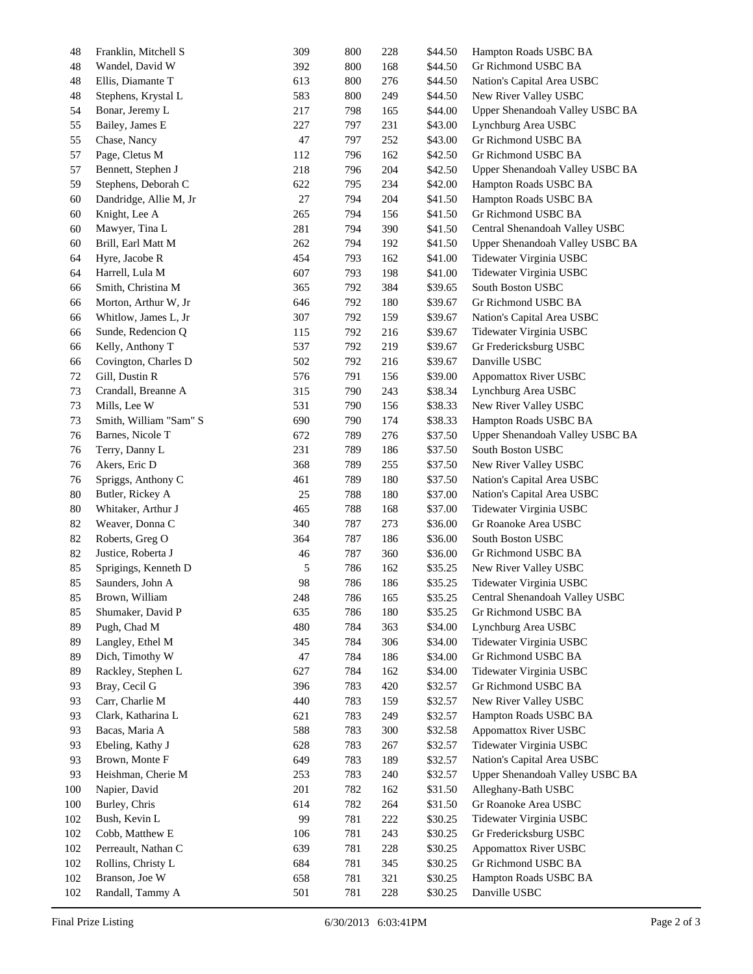| 48  | Franklin, Mitchell S   | 309 | 800 | 228 | \$44.50 | Hampton Roads USBC BA           |
|-----|------------------------|-----|-----|-----|---------|---------------------------------|
| 48  | Wandel, David W        | 392 | 800 | 168 | \$44.50 | Gr Richmond USBC BA             |
| 48  | Ellis, Diamante T      | 613 | 800 | 276 | \$44.50 | Nation's Capital Area USBC      |
| 48  | Stephens, Krystal L    | 583 | 800 | 249 | \$44.50 | New River Valley USBC           |
| 54  | Bonar, Jeremy L        | 217 | 798 | 165 | \$44.00 | Upper Shenandoah Valley USBC BA |
| 55  | Bailey, James E        | 227 | 797 | 231 | \$43.00 | Lynchburg Area USBC             |
| 55  | Chase, Nancy           | 47  | 797 | 252 | \$43.00 | Gr Richmond USBC BA             |
| 57  | Page, Cletus M         | 112 | 796 | 162 | \$42.50 | Gr Richmond USBC BA             |
| 57  | Bennett, Stephen J     | 218 | 796 | 204 | \$42.50 | Upper Shenandoah Valley USBC BA |
| 59  | Stephens, Deborah C    | 622 | 795 | 234 | \$42.00 | Hampton Roads USBC BA           |
| 60  | Dandridge, Allie M, Jr | 27  | 794 | 204 | \$41.50 | Hampton Roads USBC BA           |
| 60  | Knight, Lee A          | 265 | 794 | 156 | \$41.50 | Gr Richmond USBC BA             |
| 60  | Mawyer, Tina L         | 281 | 794 | 390 | \$41.50 | Central Shenandoah Valley USBC  |
| 60  | Brill, Earl Matt M     | 262 | 794 | 192 | \$41.50 | Upper Shenandoah Valley USBC BA |
| 64  | Hyre, Jacobe R         | 454 | 793 | 162 | \$41.00 | Tidewater Virginia USBC         |
| 64  | Harrell, Lula M        | 607 | 793 | 198 | \$41.00 | Tidewater Virginia USBC         |
| 66  | Smith, Christina M     | 365 | 792 | 384 | \$39.65 | South Boston USBC               |
| 66  | Morton, Arthur W, Jr   | 646 | 792 | 180 | \$39.67 | Gr Richmond USBC BA             |
| 66  | Whitlow, James L, Jr   | 307 | 792 | 159 | \$39.67 | Nation's Capital Area USBC      |
| 66  | Sunde, Redencion Q     | 115 | 792 | 216 | \$39.67 | Tidewater Virginia USBC         |
| 66  | Kelly, Anthony T       | 537 | 792 | 219 | \$39.67 | Gr Fredericksburg USBC          |
| 66  | Covington, Charles D   | 502 | 792 | 216 | \$39.67 | Danville USBC                   |
| 72  | Gill, Dustin R         | 576 | 791 | 156 | \$39.00 | <b>Appomattox River USBC</b>    |
| 73  |                        | 315 | 790 |     |         |                                 |
|     | Crandall, Breanne A    |     |     | 243 | \$38.34 | Lynchburg Area USBC             |
| 73  | Mills, Lee W           | 531 | 790 | 156 | \$38.33 | New River Valley USBC           |
| 73  | Smith, William "Sam" S | 690 | 790 | 174 | \$38.33 | Hampton Roads USBC BA           |
| 76  | Barnes, Nicole T       | 672 | 789 | 276 | \$37.50 | Upper Shenandoah Valley USBC BA |
| 76  | Terry, Danny L         | 231 | 789 | 186 | \$37.50 | South Boston USBC               |
| 76  | Akers, Eric D          | 368 | 789 | 255 | \$37.50 | New River Valley USBC           |
| 76  | Spriggs, Anthony C     | 461 | 789 | 180 | \$37.50 | Nation's Capital Area USBC      |
| 80  | Butler, Rickey A       | 25  | 788 | 180 | \$37.00 | Nation's Capital Area USBC      |
| 80  | Whitaker, Arthur J     | 465 | 788 | 168 | \$37.00 | Tidewater Virginia USBC         |
| 82  | Weaver, Donna C        | 340 | 787 | 273 | \$36.00 | Gr Roanoke Area USBC            |
| 82  | Roberts, Greg O        | 364 | 787 | 186 | \$36.00 | South Boston USBC               |
| 82  | Justice, Roberta J     | 46  | 787 | 360 | \$36.00 | Gr Richmond USBC BA             |
| 85  | Sprigings, Kenneth D   | 5   | 786 | 162 | \$35.25 | New River Valley USBC           |
| 85  | Saunders, John A       | 98  | 786 | 186 | \$35.25 | Tidewater Virginia USBC         |
| 85  | Brown, William         | 248 | 786 | 165 | \$35.25 | Central Shenandoah Valley USBC  |
| 85  | Shumaker, David P      | 635 | 786 | 180 | \$35.25 | Gr Richmond USBC BA             |
| 89  | Pugh, Chad M           | 480 | 784 | 363 | \$34.00 | Lynchburg Area USBC             |
| 89  | Langley, Ethel M       | 345 | 784 | 306 | \$34.00 | Tidewater Virginia USBC         |
| 89  | Dich, Timothy W        | 47  | 784 | 186 | \$34.00 | Gr Richmond USBC BA             |
| 89  | Rackley, Stephen L     | 627 | 784 | 162 | \$34.00 | Tidewater Virginia USBC         |
| 93  | Bray, Cecil G          | 396 | 783 | 420 | \$32.57 | Gr Richmond USBC BA             |
| 93  | Carr, Charlie M        | 440 | 783 | 159 | \$32.57 | New River Valley USBC           |
| 93  | Clark, Katharina L     | 621 | 783 | 249 | \$32.57 | Hampton Roads USBC BA           |
| 93  | Bacas, Maria A         | 588 | 783 | 300 | \$32.58 | <b>Appomattox River USBC</b>    |
| 93  | Ebeling, Kathy J       | 628 | 783 | 267 | \$32.57 | Tidewater Virginia USBC         |
| 93  | Brown, Monte F         | 649 | 783 | 189 | \$32.57 | Nation's Capital Area USBC      |
| 93  | Heishman, Cherie M     | 253 | 783 | 240 | \$32.57 | Upper Shenandoah Valley USBC BA |
| 100 | Napier, David          | 201 | 782 | 162 | \$31.50 | Alleghany-Bath USBC             |
| 100 | Burley, Chris          | 614 | 782 | 264 | \$31.50 | Gr Roanoke Area USBC            |
| 102 | Bush, Kevin L          | 99  | 781 | 222 | \$30.25 | Tidewater Virginia USBC         |
| 102 | Cobb, Matthew E        | 106 | 781 | 243 | \$30.25 | Gr Fredericksburg USBC          |
| 102 | Perreault, Nathan C    | 639 | 781 | 228 | \$30.25 | <b>Appomattox River USBC</b>    |
| 102 | Rollins, Christy L     | 684 | 781 | 345 | \$30.25 | Gr Richmond USBC BA             |
| 102 | Branson, Joe W         | 658 | 781 | 321 | \$30.25 | Hampton Roads USBC BA           |
| 102 | Randall, Tammy A       | 501 | 781 | 228 | \$30.25 | Danville USBC                   |
|     |                        |     |     |     |         |                                 |